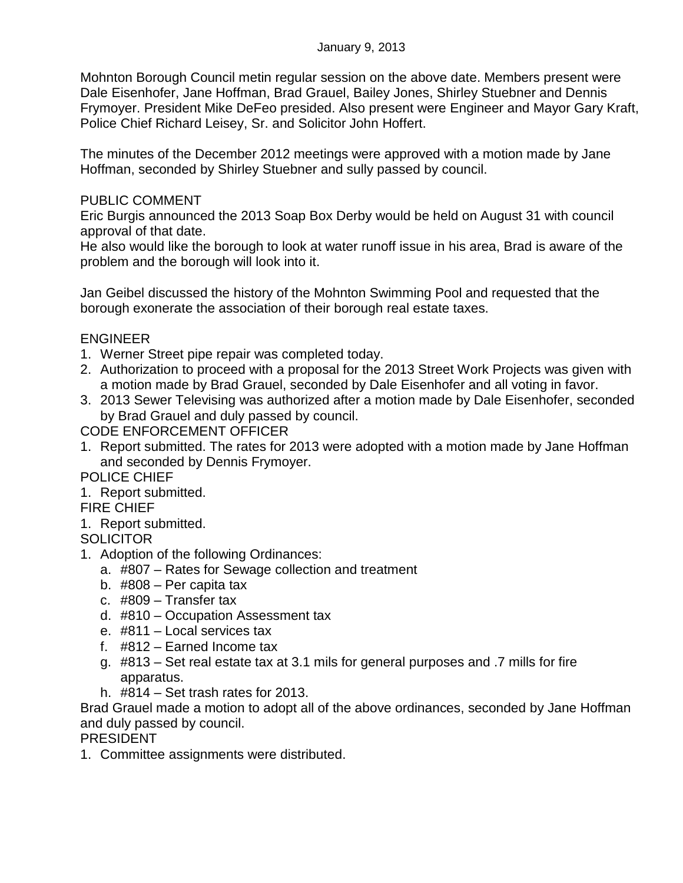Mohnton Borough Council metin regular session on the above date. Members present were Dale Eisenhofer, Jane Hoffman, Brad Grauel, Bailey Jones, Shirley Stuebner and Dennis Frymoyer. President Mike DeFeo presided. Also present were Engineer and Mayor Gary Kraft, Police Chief Richard Leisey, Sr. and Solicitor John Hoffert.

The minutes of the December 2012 meetings were approved with a motion made by Jane Hoffman, seconded by Shirley Stuebner and sully passed by council.

## PUBLIC COMMENT

Eric Burgis announced the 2013 Soap Box Derby would be held on August 31 with council approval of that date.

He also would like the borough to look at water runoff issue in his area, Brad is aware of the problem and the borough will look into it.

Jan Geibel discussed the history of the Mohnton Swimming Pool and requested that the borough exonerate the association of their borough real estate taxes.

## ENGINEER

- 1. Werner Street pipe repair was completed today.
- 2. Authorization to proceed with a proposal for the 2013 Street Work Projects was given with a motion made by Brad Grauel, seconded by Dale Eisenhofer and all voting in favor.
- 3. 2013 Sewer Televising was authorized after a motion made by Dale Eisenhofer, seconded by Brad Grauel and duly passed by council.

CODE ENFORCEMENT OFFICER

1. Report submitted. The rates for 2013 were adopted with a motion made by Jane Hoffman and seconded by Dennis Frymoyer.

POLICE CHIEF

1. Report submitted.

FIRE CHIEF

1. Report submitted.

**SOLICITOR** 

- 1. Adoption of the following Ordinances:
	- a. #807 Rates for Sewage collection and treatment
	- b. #808 Per capita tax
	- c. #809 Transfer tax
	- d. #810 Occupation Assessment tax
	- e. #811 Local services tax
	- f. #812 Earned Income tax
	- g. #813 Set real estate tax at 3.1 mils for general purposes and .7 mills for fire apparatus.
	- h. #814 Set trash rates for 2013.

Brad Grauel made a motion to adopt all of the above ordinances, seconded by Jane Hoffman and duly passed by council.

PRESIDENT

1. Committee assignments were distributed.